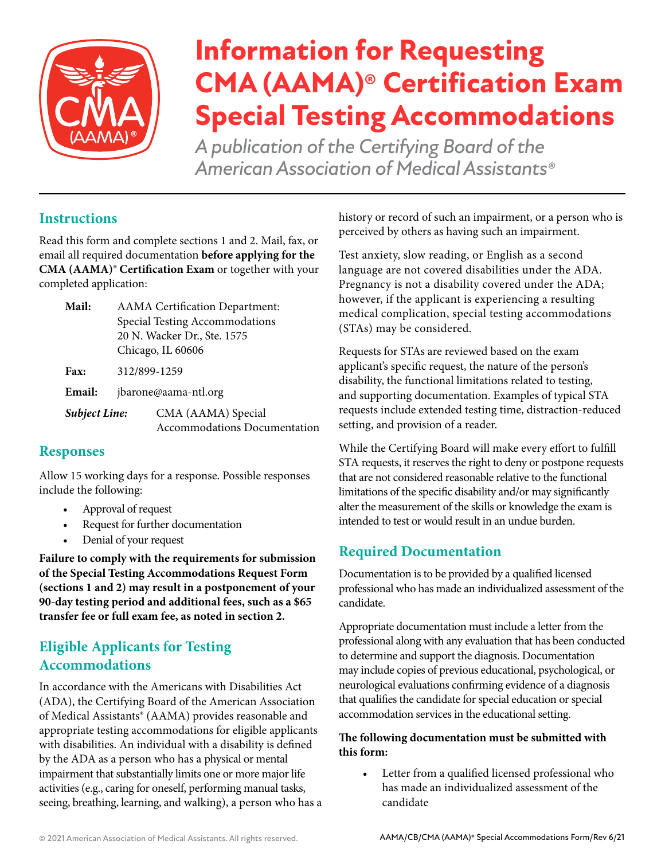

# **Information for Requesting CMA (AAMA)® Certification Exam Special Testing Accommodations**

*A publication of the Certifying Board of the American Association of Medical Assistants®*

## **Instructions**

Read this form and complete sections 1 and 2. Mail, fax, or email all required documentation **before applying for the CMA (AAMA)<sup>®</sup> Certification Exam** or together with your completed application:

- **Mail:** AAMA Certification Department: Special Testing Accommodations 20 N. Wacker Dr., Ste. 1575 Chicago, IL 60606
- **Fax:** 312/899-1259

**Email:** jbarone@aama-ntl.org

*Subject Line:* CMA (AAMA) Special Accommodations Documentation

### **Responses**

Allow 15 working days for a response. Possible responses include the following:

- Approval of request
- Request for further documentation
- Denial of your request

**Failure to comply with the requirements for submission of the Special Testing Accommodations Request Form (sections 1 and 2) may result in a postponement of your 90-day testing period and additional fees, such as a \$65 transfer fee or full exam fee, as noted in section 2.**

## **Eligible Applicants for Testing Accommodations**

In accordance with the Americans with Disabilities Act (ADA), the Certifying Board of the American Association of Medical Assistants® (AAMA) provides reasonable and appropriate testing accommodations for eligible applicants with disabilities. An individual with a disability is defined by the ADA as a person who has a physical or mental impairment that substantially limits one or more major life activities (e.g., caring for oneself, performing manual tasks, seeing, breathing, learning, and walking), a person who has a history or record of such an impairment, or a person who is perceived by others as having such an impairment.

Test anxiety, slow reading, or English as a second language are not covered disabilities under the ADA. Pregnancy is not a disability covered under the ADA; however, if the applicant is experiencing a resulting medical complication, special testing accommodations (STAs) may be considered.

Requests for STAs are reviewed based on the exam applicant's specific request, the nature of the person's disability, the functional limitations related to testing, and supporting documentation. Examples of typical STA requests include extended testing time, distraction-reduced setting, and provision of a reader.

While the Certifying Board will make every effort to fulfill STA requests, it reserves the right to deny or postpone requests that are not considered reasonable relative to the functional limitations of the specific disability and/or may significantly alter the measurement of the skills or knowledge the exam is intended to test or would result in an undue burden.

## **Required Documentation**

Documentation is to be provided by a qualified licensed professional who has made an individualized assessment of the candidate.

Appropriate documentation must include a letter from the professional along with any evaluation that has been conducted to determine and support the diagnosis. Documentation may include copies of previous educational, psychological, or neurological evaluations confirming evidence of a diagnosis that qualifies the candidate for special education or special accommodation services in the educational setting.

#### **The following documentation must be submitted with this form:**

• Letter from a qualified licensed professional who has made an individualized assessment of the candidate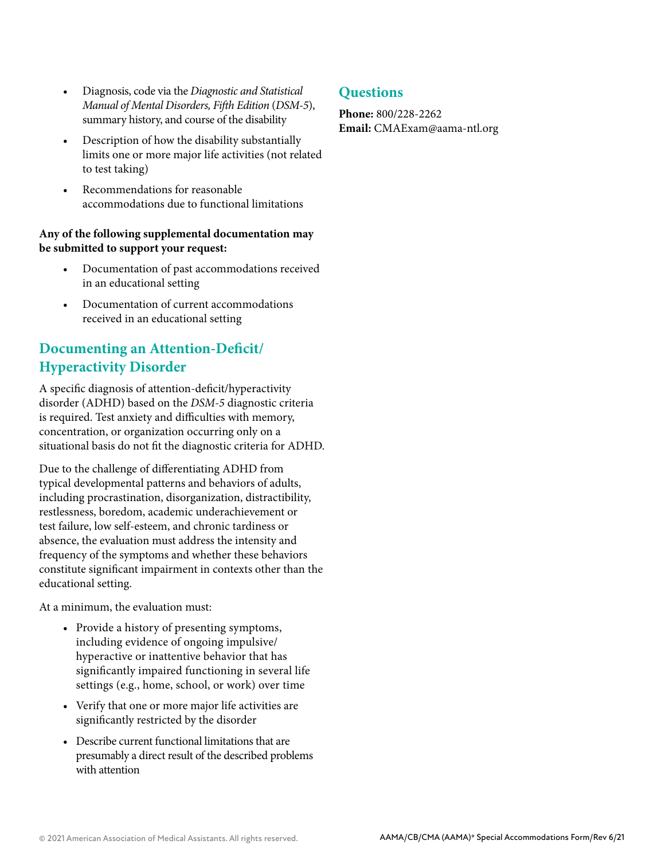- Diagnosis, code via the *Diagnostic and Statistical Manual of Mental Disorders, Fifth Edition* (*DSM-5*), summary history, and course of the disability
- Description of how the disability substantially limits one or more major life activities (not related to test taking)
- Recommendations for reasonable accommodations due to functional limitations

#### **Any of the following supplemental documentation may be submitted to support your request:**

- Documentation of past accommodations received in an educational setting
- Documentation of current accommodations received in an educational setting

## **Documenting an Attention-Deficit/ Hyperactivity Disorder**

A specific diagnosis of attention-deficit/hyperactivity disorder (ADHD) based on the *DSM-5* diagnostic criteria is required. Test anxiety and difficulties with memory, concentration, or organization occurring only on a situational basis do not fit the diagnostic criteria for ADHD.

Due to the challenge of differentiating ADHD from typical developmental patterns and behaviors of adults, including procrastination, disorganization, distractibility, restlessness, boredom, academic underachievement or test failure, low self-esteem, and chronic tardiness or absence, the evaluation must address the intensity and frequency of the symptoms and whether these behaviors constitute significant impairment in contexts other than the educational setting.

At a minimum, the evaluation must:

- Provide a history of presenting symptoms, including evidence of ongoing impulsive/ hyperactive or inattentive behavior that has significantly impaired functioning in several life settings (e.g., home, school, or work) over time
- Verify that one or more major life activities are significantly restricted by the disorder
- Describe current functional limitations that are presumably a direct result of the described problems with attention

### **Questions**

**Phone:** 800/228-2262 **Email:** CMAExam@aama-ntl.org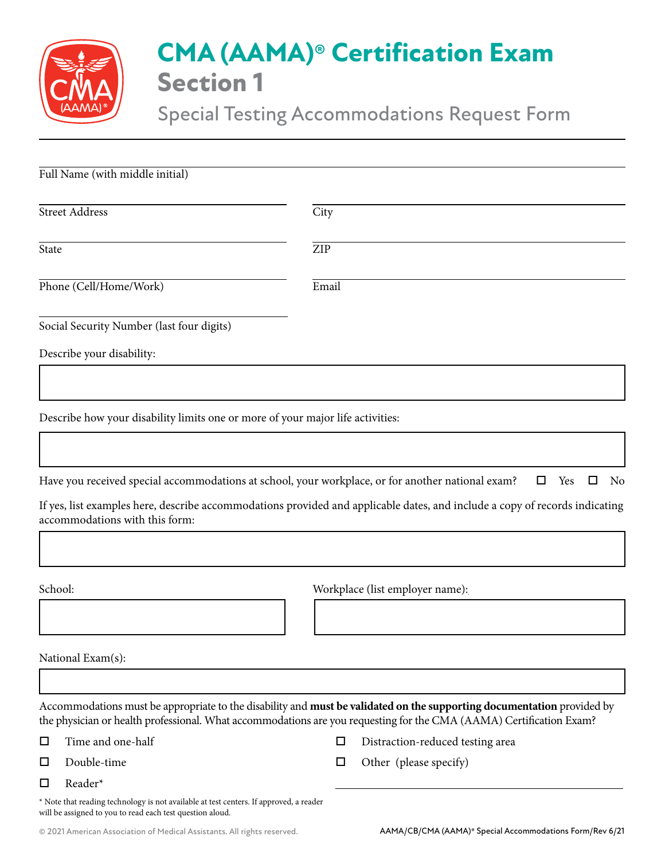

## **CMA (AAMA)® Certification Exam Section 1**

Special Testing Accommodations Request Form

| Full Name (with middle initial)                                                                                                                     |       |                                                                                                                             |
|-----------------------------------------------------------------------------------------------------------------------------------------------------|-------|-----------------------------------------------------------------------------------------------------------------------------|
| <b>Street Address</b>                                                                                                                               | City  |                                                                                                                             |
| <b>State</b>                                                                                                                                        | ZIP   |                                                                                                                             |
| Phone (Cell/Home/Work)                                                                                                                              | Email |                                                                                                                             |
| Social Security Number (last four digits)                                                                                                           |       |                                                                                                                             |
| Describe your disability:                                                                                                                           |       |                                                                                                                             |
|                                                                                                                                                     |       |                                                                                                                             |
| Describe how your disability limits one or more of your major life activities:                                                                      |       |                                                                                                                             |
|                                                                                                                                                     |       |                                                                                                                             |
| Have you received special accommodations at school, your workplace, or for another national exam?                                                   |       | □<br>Yes<br>□<br>No                                                                                                         |
| accommodations with this form:                                                                                                                      |       | If yes, list examples here, describe accommodations provided and applicable dates, and include a copy of records indicating |
|                                                                                                                                                     |       |                                                                                                                             |
| School:                                                                                                                                             |       | Workplace (list employer name):                                                                                             |
|                                                                                                                                                     |       |                                                                                                                             |
| National Exam(s):                                                                                                                                   |       |                                                                                                                             |
|                                                                                                                                                     |       |                                                                                                                             |
| the physician or health professional. What accommodations are you requesting for the CMA (AAMA) Certification Exam?                                 |       | Accommodations must be appropriate to the disability and must be validated on the supporting documentation provided by      |
| Time and one-half<br>$\Box$                                                                                                                         | □     | Distraction-reduced testing area                                                                                            |
| Double-time<br>□                                                                                                                                    | □     | Other (please specify)                                                                                                      |
| $\Box$<br>Reader*                                                                                                                                   |       |                                                                                                                             |
| * Note that reading technology is not available at test centers. If approved, a reader<br>will be assigned to you to read each test question aloud. |       |                                                                                                                             |